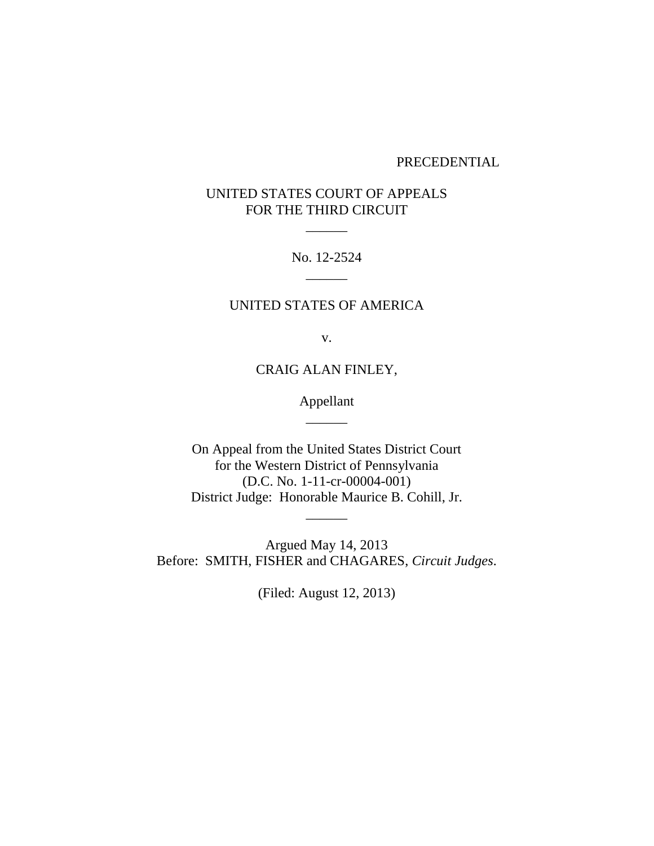#### PRECEDENTIAL

# UNITED STATES COURT OF APPEALS FOR THE THIRD CIRCUIT

 $\overline{\phantom{a}}$ 

No. 12-2524  $\overline{\phantom{a}}$ 

## UNITED STATES OF AMERICA

v.

CRAIG ALAN FINLEY,

Appellant  $\overline{\phantom{a}}$ 

On Appeal from the United States District Court for the Western District of Pennsylvania (D.C. No. 1-11-cr-00004-001) District Judge: Honorable Maurice B. Cohill, Jr.

 $\overline{\phantom{a}}$ 

Argued May 14, 2013 Before: SMITH, FISHER and CHAGARES, *Circuit Judges*.

(Filed: August 12, 2013)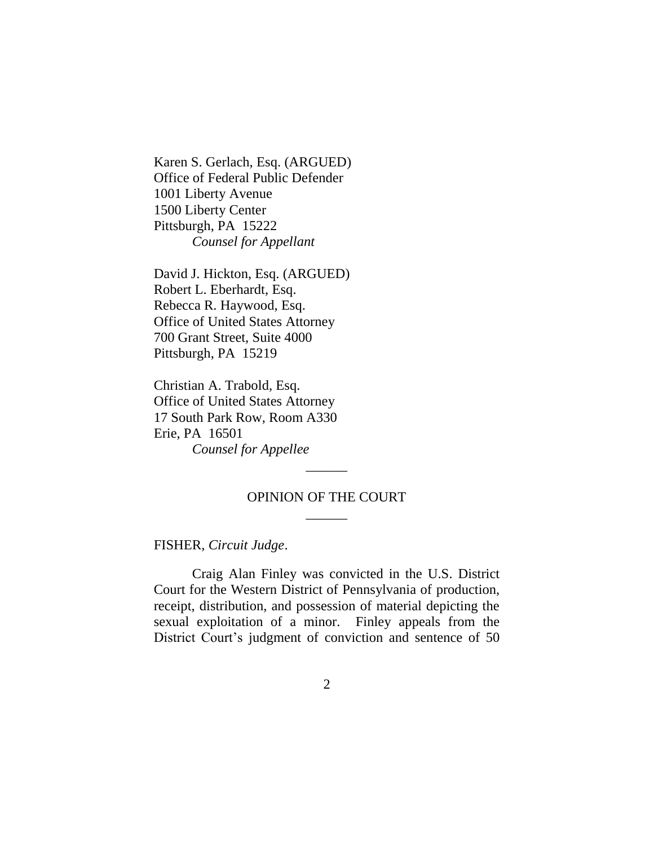Karen S. Gerlach, Esq. (ARGUED) Office of Federal Public Defender 1001 Liberty Avenue 1500 Liberty Center Pittsburgh, PA 15222 *Counsel for Appellant*

David J. Hickton, Esq. (ARGUED) Robert L. Eberhardt, Esq. Rebecca R. Haywood, Esq. Office of United States Attorney 700 Grant Street, Suite 4000 Pittsburgh, PA 15219

Christian A. Trabold, Esq. Office of United States Attorney 17 South Park Row, Room A330 Erie, PA 16501 *Counsel for Appellee*

# OPINION OF THE COURT  $\overline{\phantom{a}}$

 $\overline{\phantom{a}}$ 

#### FISHER, *Circuit Judge*.

Craig Alan Finley was convicted in the U.S. District Court for the Western District of Pennsylvania of production, receipt, distribution, and possession of material depicting the sexual exploitation of a minor. Finley appeals from the District Court's judgment of conviction and sentence of 50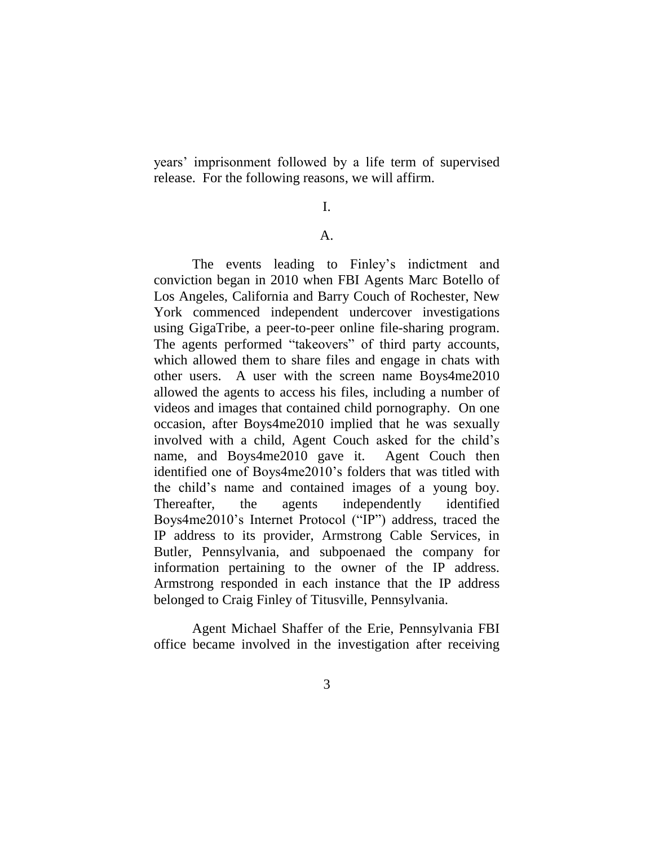years' imprisonment followed by a life term of supervised release. For the following reasons, we will affirm.

## I.

## A.

The events leading to Finley's indictment and conviction began in 2010 when FBI Agents Marc Botello of Los Angeles, California and Barry Couch of Rochester, New York commenced independent undercover investigations using GigaTribe, a peer-to-peer online file-sharing program. The agents performed "takeovers" of third party accounts, which allowed them to share files and engage in chats with other users. A user with the screen name Boys4me2010 allowed the agents to access his files, including a number of videos and images that contained child pornography. On one occasion, after Boys4me2010 implied that he was sexually involved with a child, Agent Couch asked for the child's name, and Boys4me2010 gave it. Agent Couch then identified one of Boys4me2010's folders that was titled with the child's name and contained images of a young boy. Thereafter, the agents independently identified Boys4me2010's Internet Protocol ("IP") address, traced the IP address to its provider, Armstrong Cable Services, in Butler, Pennsylvania, and subpoenaed the company for information pertaining to the owner of the IP address. Armstrong responded in each instance that the IP address belonged to Craig Finley of Titusville, Pennsylvania.

Agent Michael Shaffer of the Erie, Pennsylvania FBI office became involved in the investigation after receiving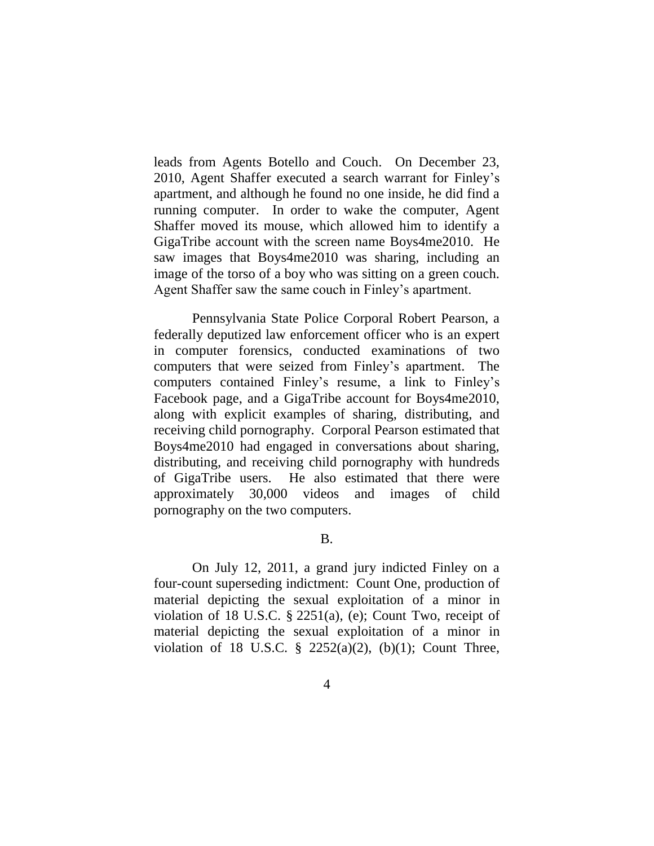leads from Agents Botello and Couch. On December 23, 2010, Agent Shaffer executed a search warrant for Finley's apartment, and although he found no one inside, he did find a running computer. In order to wake the computer, Agent Shaffer moved its mouse, which allowed him to identify a GigaTribe account with the screen name Boys4me2010. He saw images that Boys4me2010 was sharing, including an image of the torso of a boy who was sitting on a green couch. Agent Shaffer saw the same couch in Finley's apartment.

Pennsylvania State Police Corporal Robert Pearson, a federally deputized law enforcement officer who is an expert in computer forensics, conducted examinations of two computers that were seized from Finley's apartment. The computers contained Finley's resume, a link to Finley's Facebook page, and a GigaTribe account for Boys4me2010, along with explicit examples of sharing, distributing, and receiving child pornography. Corporal Pearson estimated that Boys4me2010 had engaged in conversations about sharing, distributing, and receiving child pornography with hundreds of GigaTribe users. He also estimated that there were approximately 30,000 videos and images of child pornography on the two computers.

## B.

On July 12, 2011, a grand jury indicted Finley on a four-count superseding indictment: Count One, production of material depicting the sexual exploitation of a minor in violation of 18 U.S.C. § 2251(a), (e); Count Two, receipt of material depicting the sexual exploitation of a minor in violation of 18 U.S.C.  $\S$  2252(a)(2), (b)(1); Count Three,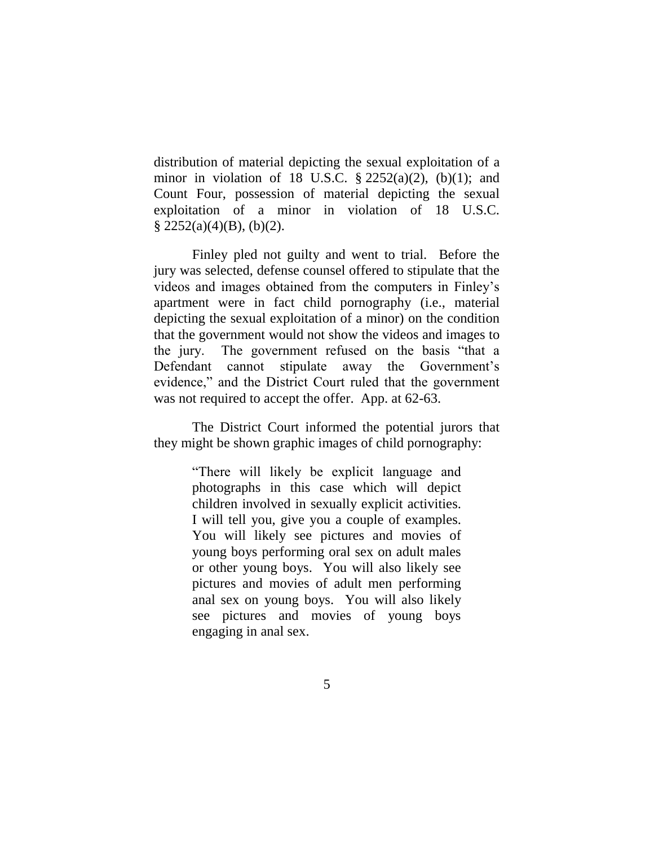distribution of material depicting the sexual exploitation of a minor in violation of 18 U.S.C.  $\S 2252(a)(2)$ , (b)(1); and Count Four, possession of material depicting the sexual exploitation of a minor in violation of 18 U.S.C.  $\S$  2252(a)(4)(B), (b)(2).

Finley pled not guilty and went to trial. Before the jury was selected, defense counsel offered to stipulate that the videos and images obtained from the computers in Finley's apartment were in fact child pornography (i.e., material depicting the sexual exploitation of a minor) on the condition that the government would not show the videos and images to the jury. The government refused on the basis "that a Defendant cannot stipulate away the Government's evidence," and the District Court ruled that the government was not required to accept the offer. App. at 62-63.

The District Court informed the potential jurors that they might be shown graphic images of child pornography:

> "There will likely be explicit language and photographs in this case which will depict children involved in sexually explicit activities. I will tell you, give you a couple of examples. You will likely see pictures and movies of young boys performing oral sex on adult males or other young boys. You will also likely see pictures and movies of adult men performing anal sex on young boys. You will also likely see pictures and movies of young boys engaging in anal sex.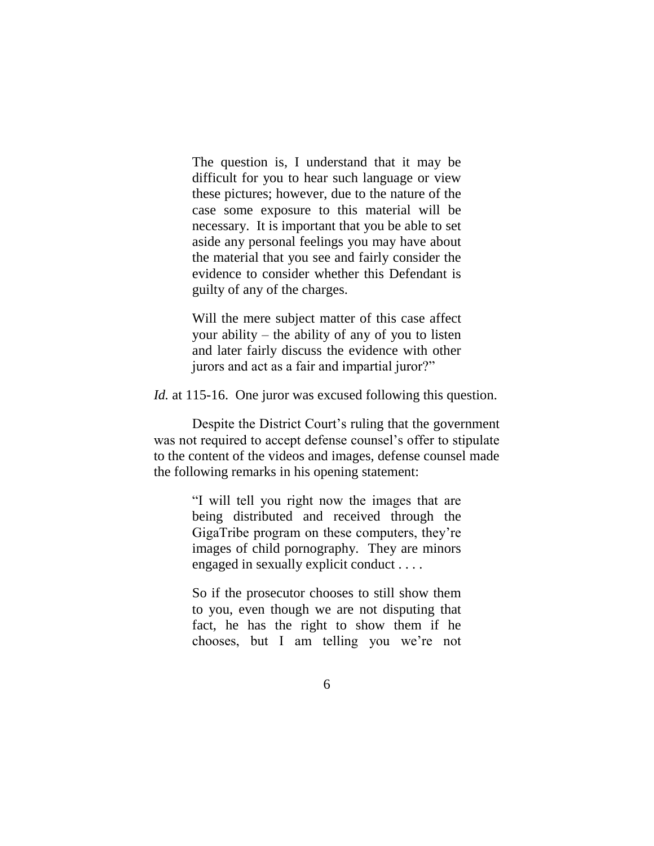The question is, I understand that it may be difficult for you to hear such language or view these pictures; however, due to the nature of the case some exposure to this material will be necessary. It is important that you be able to set aside any personal feelings you may have about the material that you see and fairly consider the evidence to consider whether this Defendant is guilty of any of the charges.

Will the mere subject matter of this case affect your ability – the ability of any of you to listen and later fairly discuss the evidence with other jurors and act as a fair and impartial juror?"

*Id.* at 115-16. One juror was excused following this question.

Despite the District Court's ruling that the government was not required to accept defense counsel's offer to stipulate to the content of the videos and images, defense counsel made the following remarks in his opening statement:

> "I will tell you right now the images that are being distributed and received through the GigaTribe program on these computers, they're images of child pornography. They are minors engaged in sexually explicit conduct . . . .

> So if the prosecutor chooses to still show them to you, even though we are not disputing that fact, he has the right to show them if he chooses, but I am telling you we're not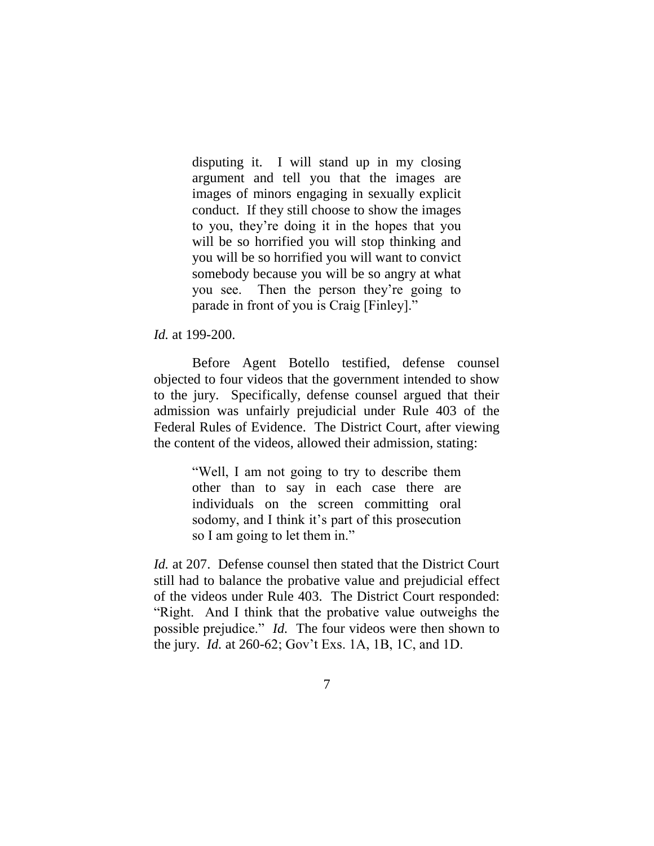disputing it. I will stand up in my closing argument and tell you that the images are images of minors engaging in sexually explicit conduct. If they still choose to show the images to you, they're doing it in the hopes that you will be so horrified you will stop thinking and you will be so horrified you will want to convict somebody because you will be so angry at what you see. Then the person they're going to parade in front of you is Craig [Finley]."

*Id.* at 199-200.

Before Agent Botello testified, defense counsel objected to four videos that the government intended to show to the jury. Specifically, defense counsel argued that their admission was unfairly prejudicial under Rule 403 of the Federal Rules of Evidence. The District Court, after viewing the content of the videos, allowed their admission, stating:

> "Well, I am not going to try to describe them other than to say in each case there are individuals on the screen committing oral sodomy, and I think it's part of this prosecution so I am going to let them in."

*Id.* at 207. Defense counsel then stated that the District Court still had to balance the probative value and prejudicial effect of the videos under Rule 403. The District Court responded: "Right. And I think that the probative value outweighs the possible prejudice." *Id.* The four videos were then shown to the jury. *Id.* at 260-62; Gov't Exs. 1A, 1B, 1C, and 1D.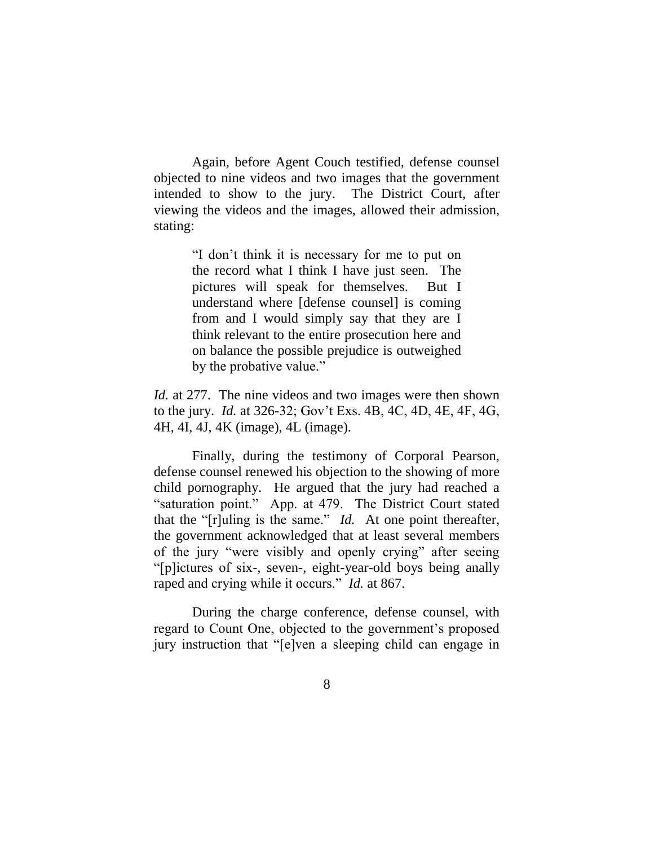Again, before Agent Couch testified, defense counsel objected to nine videos and two images that the government intended to show to the jury. The District Court, after viewing the videos and the images, allowed their admission, stating:

> "I don't think it is necessary for me to put on the record what I think I have just seen. The pictures will speak for themselves. But I understand where [defense counsel] is coming from and I would simply say that they are I think relevant to the entire prosecution here and on balance the possible prejudice is outweighed by the probative value."

*Id.* at 277. The nine videos and two images were then shown to the jury. *Id.* at 326-32; Gov't Exs. 4B, 4C, 4D, 4E, 4F, 4G, 4H, 4I, 4J, 4K (image), 4L (image).

Finally, during the testimony of Corporal Pearson, defense counsel renewed his objection to the showing of more child pornography. He argued that the jury had reached a "saturation point." App. at 479. The District Court stated that the "[r]uling is the same." *Id.* At one point thereafter, the government acknowledged that at least several members of the jury "were visibly and openly crying" after seeing "[p]ictures of six-, seven-, eight-year-old boys being anally raped and crying while it occurs." *Id.* at 867.

During the charge conference, defense counsel, with regard to Count One, objected to the government's proposed jury instruction that "[e]ven a sleeping child can engage in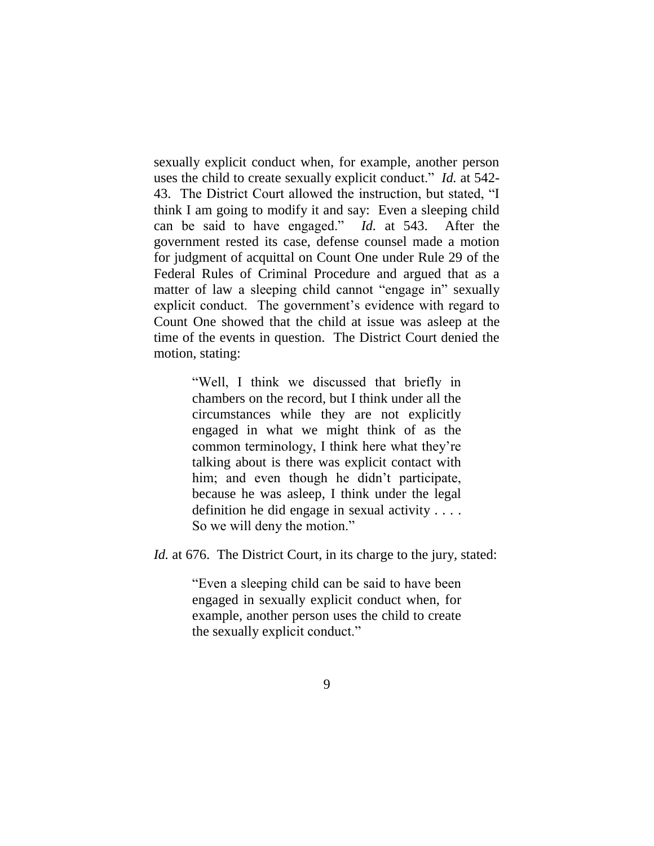sexually explicit conduct when, for example, another person uses the child to create sexually explicit conduct." *Id.* at 542- 43. The District Court allowed the instruction, but stated, "I think I am going to modify it and say: Even a sleeping child can be said to have engaged." *Id.* at 543. After the government rested its case, defense counsel made a motion for judgment of acquittal on Count One under Rule 29 of the Federal Rules of Criminal Procedure and argued that as a matter of law a sleeping child cannot "engage in" sexually explicit conduct. The government's evidence with regard to Count One showed that the child at issue was asleep at the time of the events in question. The District Court denied the motion, stating:

> "Well, I think we discussed that briefly in chambers on the record, but I think under all the circumstances while they are not explicitly engaged in what we might think of as the common terminology, I think here what they're talking about is there was explicit contact with him; and even though he didn't participate, because he was asleep, I think under the legal definition he did engage in sexual activity . . . . So we will deny the motion."

*Id.* at 676. The District Court, in its charge to the jury, stated:

"Even a sleeping child can be said to have been engaged in sexually explicit conduct when, for example, another person uses the child to create the sexually explicit conduct."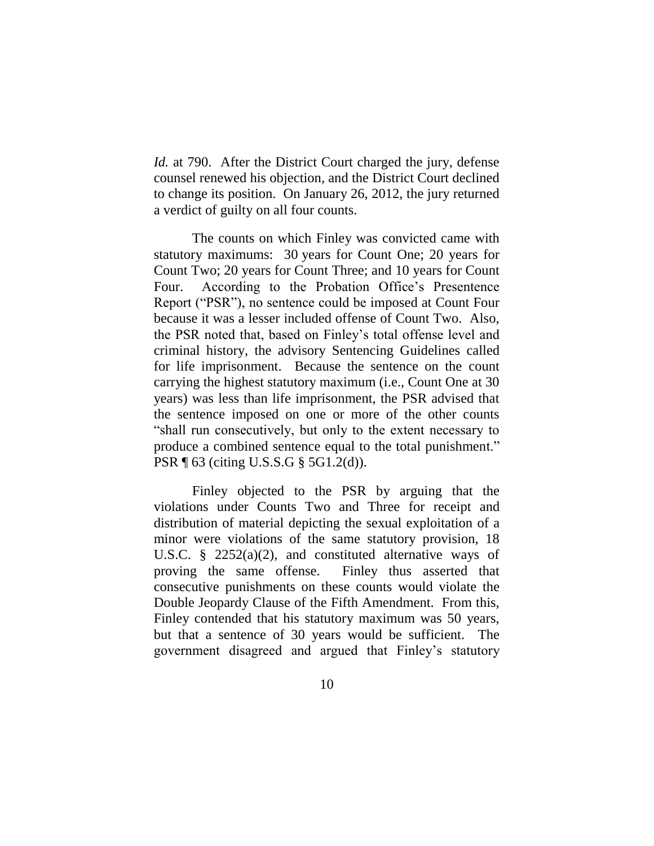*Id.* at 790. After the District Court charged the jury, defense counsel renewed his objection, and the District Court declined to change its position. On January 26, 2012, the jury returned a verdict of guilty on all four counts.

The counts on which Finley was convicted came with statutory maximums: 30 years for Count One; 20 years for Count Two; 20 years for Count Three; and 10 years for Count Four. According to the Probation Office's Presentence Report ("PSR"), no sentence could be imposed at Count Four because it was a lesser included offense of Count Two. Also, the PSR noted that, based on Finley's total offense level and criminal history, the advisory Sentencing Guidelines called for life imprisonment. Because the sentence on the count carrying the highest statutory maximum (i.e., Count One at 30 years) was less than life imprisonment, the PSR advised that the sentence imposed on one or more of the other counts "shall run consecutively, but only to the extent necessary to produce a combined sentence equal to the total punishment." PSR ¶ 63 (citing U.S.S.G § 5G1.2(d)).

Finley objected to the PSR by arguing that the violations under Counts Two and Three for receipt and distribution of material depicting the sexual exploitation of a minor were violations of the same statutory provision, 18 U.S.C. § 2252(a)(2), and constituted alternative ways of proving the same offense. Finley thus asserted that consecutive punishments on these counts would violate the Double Jeopardy Clause of the Fifth Amendment. From this, Finley contended that his statutory maximum was 50 years, but that a sentence of 30 years would be sufficient. The government disagreed and argued that Finley's statutory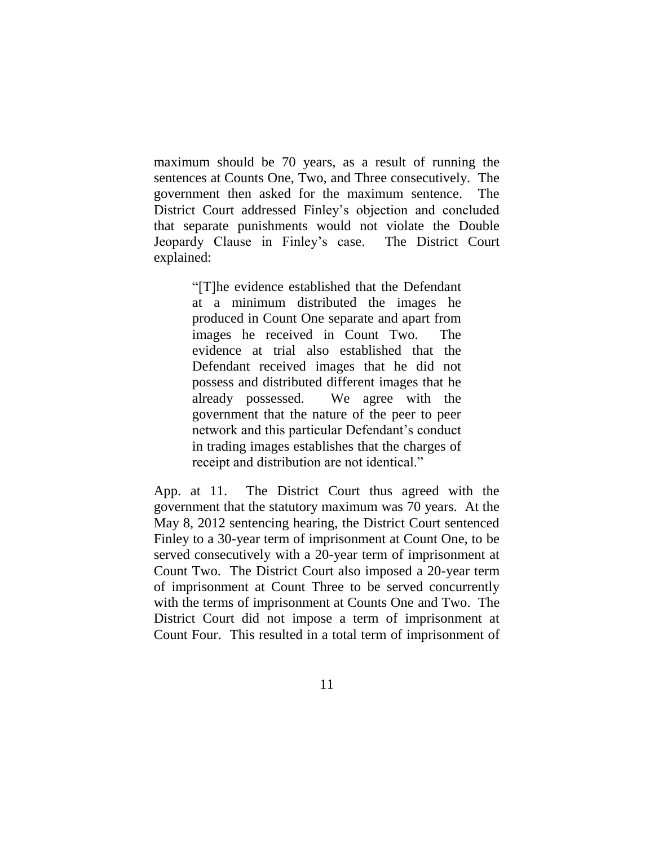maximum should be 70 years, as a result of running the sentences at Counts One, Two, and Three consecutively. The government then asked for the maximum sentence. The District Court addressed Finley's objection and concluded that separate punishments would not violate the Double Jeopardy Clause in Finley's case. The District Court explained:

> "[T]he evidence established that the Defendant at a minimum distributed the images he produced in Count One separate and apart from images he received in Count Two. The evidence at trial also established that the Defendant received images that he did not possess and distributed different images that he already possessed. We agree with the government that the nature of the peer to peer network and this particular Defendant's conduct in trading images establishes that the charges of receipt and distribution are not identical."

App. at 11. The District Court thus agreed with the government that the statutory maximum was 70 years. At the May 8, 2012 sentencing hearing, the District Court sentenced Finley to a 30-year term of imprisonment at Count One, to be served consecutively with a 20-year term of imprisonment at Count Two. The District Court also imposed a 20-year term of imprisonment at Count Three to be served concurrently with the terms of imprisonment at Counts One and Two. The District Court did not impose a term of imprisonment at Count Four. This resulted in a total term of imprisonment of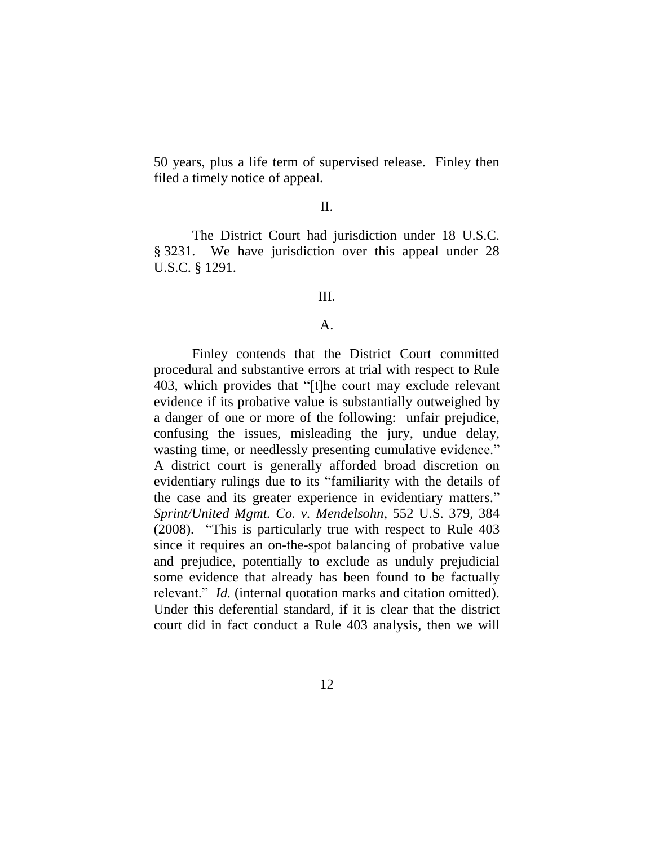50 years, plus a life term of supervised release. Finley then filed a timely notice of appeal.

### II.

The District Court had jurisdiction under 18 U.S.C. § 3231. We have jurisdiction over this appeal under 28 U.S.C. § 1291.

## III.

#### $\mathbf{A}$ .

Finley contends that the District Court committed procedural and substantive errors at trial with respect to Rule 403, which provides that "[t]he court may exclude relevant evidence if its probative value is substantially outweighed by a danger of one or more of the following: unfair prejudice, confusing the issues, misleading the jury, undue delay, wasting time, or needlessly presenting cumulative evidence." A district court is generally afforded broad discretion on evidentiary rulings due to its "familiarity with the details of the case and its greater experience in evidentiary matters." *Sprint/United Mgmt. Co. v. Mendelsohn*, 552 U.S. 379, 384 (2008). "This is particularly true with respect to Rule 403 since it requires an on-the-spot balancing of probative value and prejudice, potentially to exclude as unduly prejudicial some evidence that already has been found to be factually relevant." *Id.* (internal quotation marks and citation omitted). Under this deferential standard, if it is clear that the district court did in fact conduct a Rule 403 analysis, then we will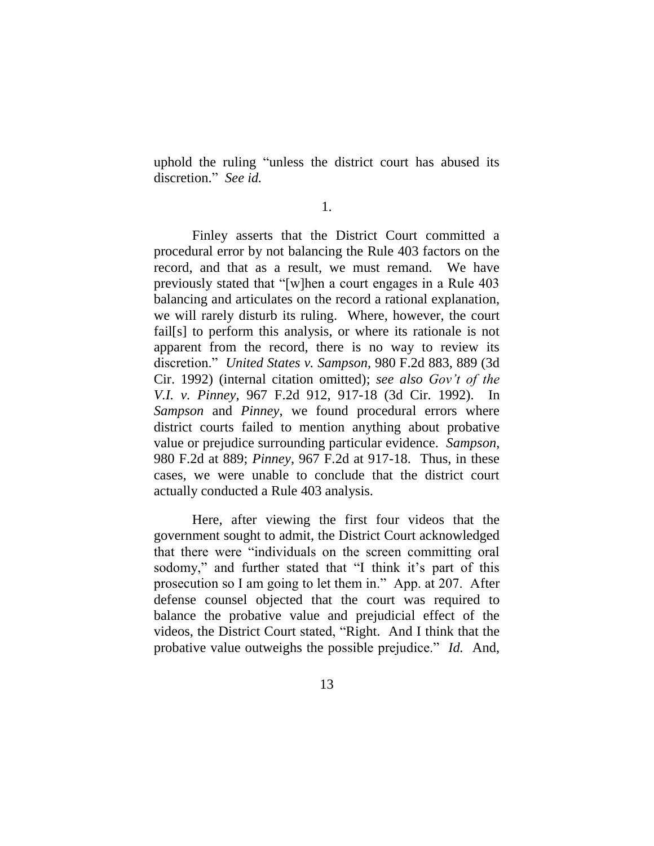uphold the ruling "unless the district court has abused its discretion." *See id.*

1.

Finley asserts that the District Court committed a procedural error by not balancing the Rule 403 factors on the record, and that as a result, we must remand. We have previously stated that "[w]hen a court engages in a Rule 403 balancing and articulates on the record a rational explanation, we will rarely disturb its ruling. Where, however, the court fail[s] to perform this analysis, or where its rationale is not apparent from the record, there is no way to review its discretion." *United States v. Sampson*, 980 F.2d 883, 889 (3d Cir. 1992) (internal citation omitted); *see also Gov't of the V.I. v. Pinney*, 967 F.2d 912, 917-18 (3d Cir. 1992). In *Sampson* and *Pinney*, we found procedural errors where district courts failed to mention anything about probative value or prejudice surrounding particular evidence. *Sampson*, 980 F.2d at 889; *Pinney*, 967 F.2d at 917-18. Thus, in these cases, we were unable to conclude that the district court actually conducted a Rule 403 analysis.

Here, after viewing the first four videos that the government sought to admit, the District Court acknowledged that there were "individuals on the screen committing oral sodomy," and further stated that "I think it's part of this prosecution so I am going to let them in." App. at 207. After defense counsel objected that the court was required to balance the probative value and prejudicial effect of the videos, the District Court stated, "Right. And I think that the probative value outweighs the possible prejudice." *Id.* And,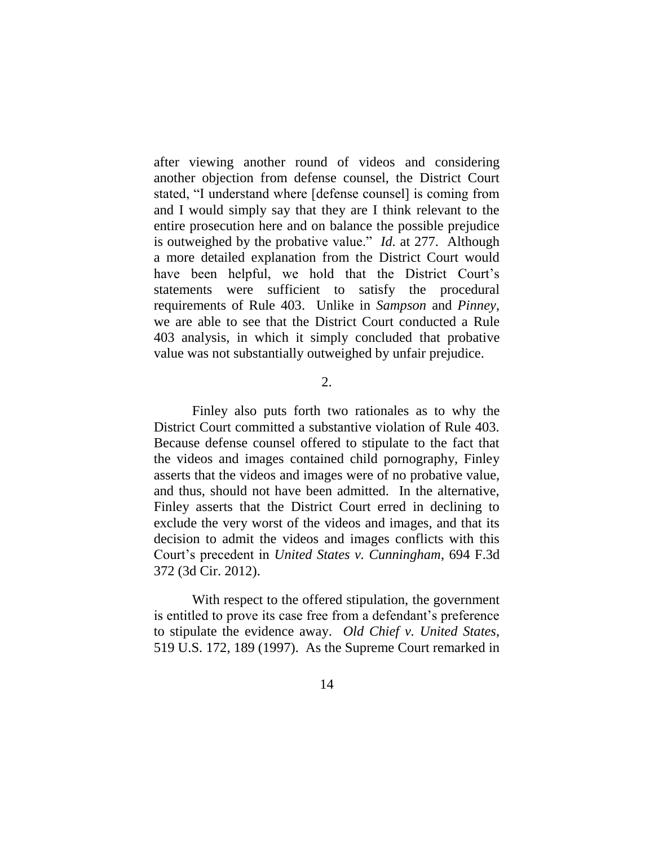after viewing another round of videos and considering another objection from defense counsel, the District Court stated, "I understand where [defense counsel] is coming from and I would simply say that they are I think relevant to the entire prosecution here and on balance the possible prejudice is outweighed by the probative value." *Id.* at 277. Although a more detailed explanation from the District Court would have been helpful, we hold that the District Court's statements were sufficient to satisfy the procedural requirements of Rule 403. Unlike in *Sampson* and *Pinney*, we are able to see that the District Court conducted a Rule 403 analysis, in which it simply concluded that probative value was not substantially outweighed by unfair prejudice.

2.

Finley also puts forth two rationales as to why the District Court committed a substantive violation of Rule 403. Because defense counsel offered to stipulate to the fact that the videos and images contained child pornography, Finley asserts that the videos and images were of no probative value, and thus, should not have been admitted. In the alternative, Finley asserts that the District Court erred in declining to exclude the very worst of the videos and images, and that its decision to admit the videos and images conflicts with this Court's precedent in *United States v. Cunningham*, 694 F.3d 372 (3d Cir. 2012).

With respect to the offered stipulation, the government is entitled to prove its case free from a defendant's preference to stipulate the evidence away. *Old Chief v. United States*, 519 U.S. 172, 189 (1997). As the Supreme Court remarked in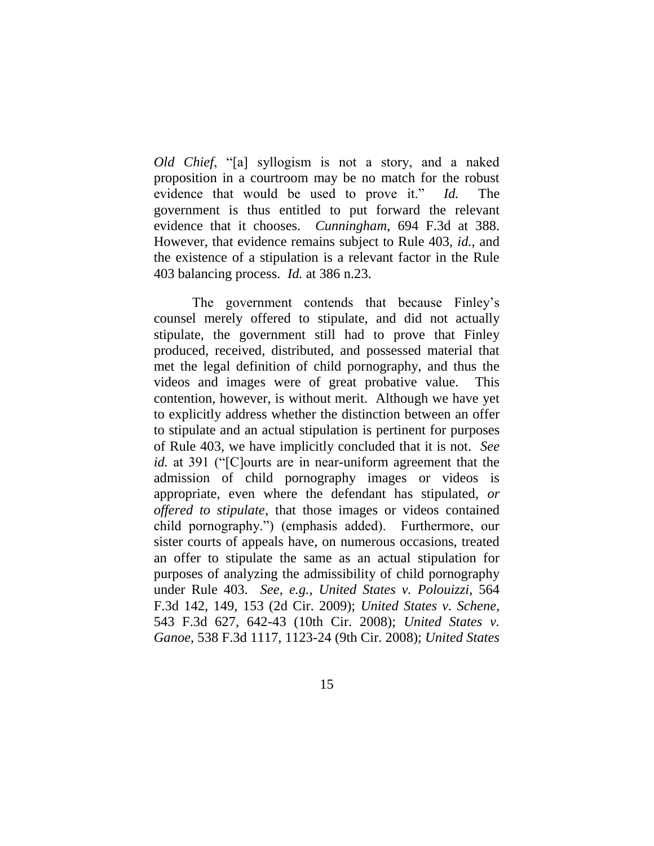*Old Chief*, "[a] syllogism is not a story, and a naked proposition in a courtroom may be no match for the robust evidence that would be used to prove it." *Id.* The government is thus entitled to put forward the relevant evidence that it chooses. *Cunningham*, 694 F.3d at 388. However, that evidence remains subject to Rule 403, *id.*, and the existence of a stipulation is a relevant factor in the Rule 403 balancing process. *Id.* at 386 n.23.

The government contends that because Finley's counsel merely offered to stipulate, and did not actually stipulate, the government still had to prove that Finley produced, received, distributed, and possessed material that met the legal definition of child pornography, and thus the videos and images were of great probative value. This contention, however, is without merit. Although we have yet to explicitly address whether the distinction between an offer to stipulate and an actual stipulation is pertinent for purposes of Rule 403, we have implicitly concluded that it is not. *See id.* at 391 ("[C]ourts are in near-uniform agreement that the admission of child pornography images or videos is appropriate, even where the defendant has stipulated, *or offered to stipulate*, that those images or videos contained child pornography.") (emphasis added). Furthermore, our sister courts of appeals have, on numerous occasions, treated an offer to stipulate the same as an actual stipulation for purposes of analyzing the admissibility of child pornography under Rule 403. *See, e.g.*, *United States v. Polouizzi*, 564 F.3d 142, 149, 153 (2d Cir. 2009); *United States v. Schene*, 543 F.3d 627, 642-43 (10th Cir. 2008); *United States v. Ganoe*, 538 F.3d 1117, 1123-24 (9th Cir. 2008); *United States*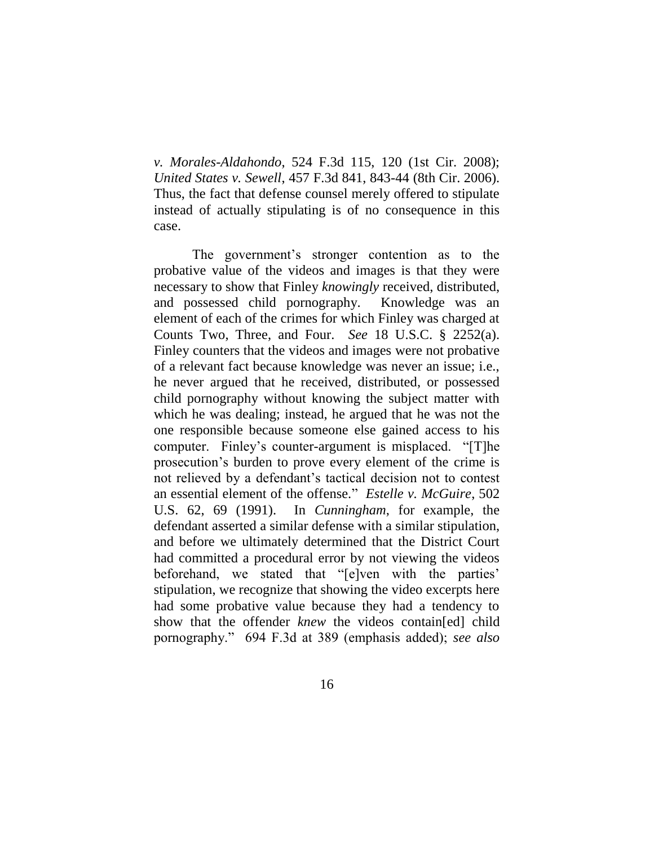*v. Morales-Aldahondo*, 524 F.3d 115, 120 (1st Cir. 2008); *United States v. Sewell*, 457 F.3d 841, 843-44 (8th Cir. 2006). Thus, the fact that defense counsel merely offered to stipulate instead of actually stipulating is of no consequence in this case.

The government's stronger contention as to the probative value of the videos and images is that they were necessary to show that Finley *knowingly* received, distributed, and possessed child pornography. Knowledge was an element of each of the crimes for which Finley was charged at Counts Two, Three, and Four. *See* 18 U.S.C. § 2252(a). Finley counters that the videos and images were not probative of a relevant fact because knowledge was never an issue; i.e., he never argued that he received, distributed, or possessed child pornography without knowing the subject matter with which he was dealing; instead, he argued that he was not the one responsible because someone else gained access to his computer. Finley's counter-argument is misplaced. "[T]he prosecution's burden to prove every element of the crime is not relieved by a defendant's tactical decision not to contest an essential element of the offense." *Estelle v. McGuire*, 502 U.S. 62, 69 (1991). In *Cunningham*, for example, the defendant asserted a similar defense with a similar stipulation, and before we ultimately determined that the District Court had committed a procedural error by not viewing the videos beforehand, we stated that "[e]ven with the parties' stipulation, we recognize that showing the video excerpts here had some probative value because they had a tendency to show that the offender *knew* the videos contain[ed] child pornography." 694 F.3d at 389 (emphasis added); *see also*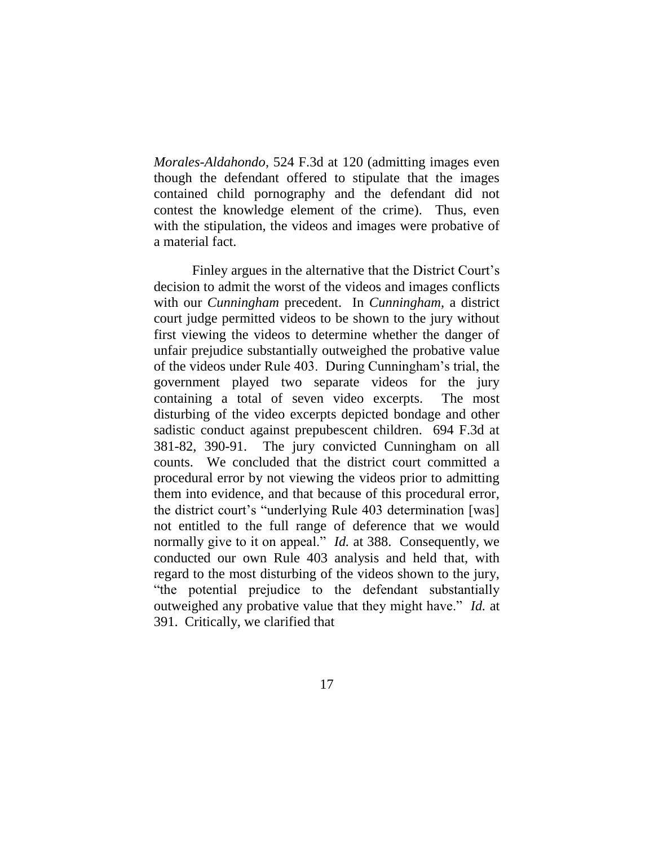*Morales-Aldahondo*, 524 F.3d at 120 (admitting images even though the defendant offered to stipulate that the images contained child pornography and the defendant did not contest the knowledge element of the crime). Thus, even with the stipulation, the videos and images were probative of a material fact.

Finley argues in the alternative that the District Court's decision to admit the worst of the videos and images conflicts with our *Cunningham* precedent. In *Cunningham*, a district court judge permitted videos to be shown to the jury without first viewing the videos to determine whether the danger of unfair prejudice substantially outweighed the probative value of the videos under Rule 403. During Cunningham's trial, the government played two separate videos for the jury containing a total of seven video excerpts. The most disturbing of the video excerpts depicted bondage and other sadistic conduct against prepubescent children. 694 F.3d at 381-82, 390-91. The jury convicted Cunningham on all counts. We concluded that the district court committed a procedural error by not viewing the videos prior to admitting them into evidence, and that because of this procedural error, the district court's "underlying Rule 403 determination [was] not entitled to the full range of deference that we would normally give to it on appeal." *Id.* at 388. Consequently, we conducted our own Rule 403 analysis and held that, with regard to the most disturbing of the videos shown to the jury, "the potential prejudice to the defendant substantially outweighed any probative value that they might have." *Id.* at 391. Critically, we clarified that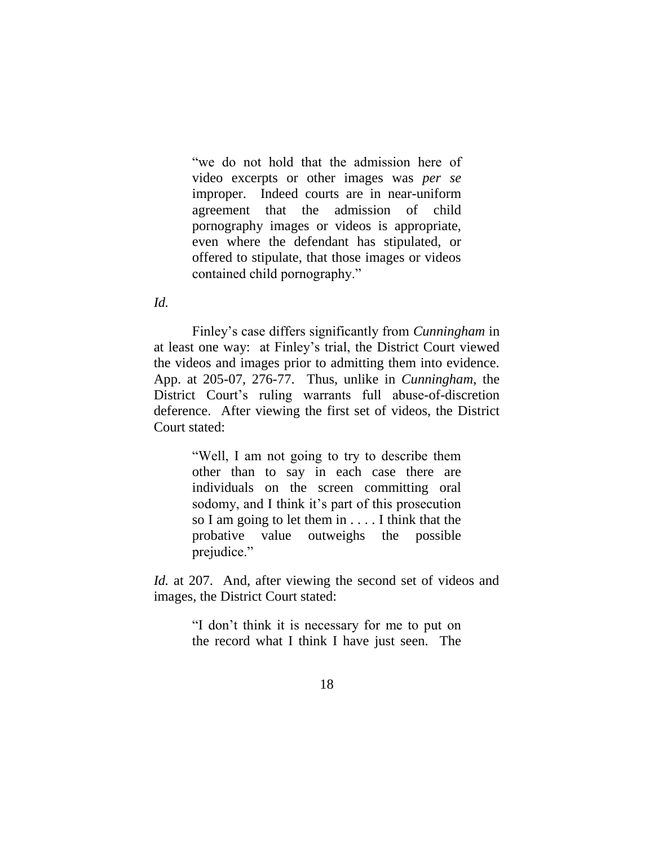"we do not hold that the admission here of video excerpts or other images was *per se*  improper. Indeed courts are in near-uniform agreement that the admission of child pornography images or videos is appropriate, even where the defendant has stipulated, or offered to stipulate, that those images or videos contained child pornography."

*Id.*

Finley's case differs significantly from *Cunningham* in at least one way: at Finley's trial, the District Court viewed the videos and images prior to admitting them into evidence. App. at 205-07, 276-77. Thus, unlike in *Cunningham*, the District Court's ruling warrants full abuse-of-discretion deference. After viewing the first set of videos, the District Court stated:

> "Well, I am not going to try to describe them other than to say in each case there are individuals on the screen committing oral sodomy, and I think it's part of this prosecution so I am going to let them in . . . . I think that the probative value outweighs the possible prejudice."

*Id.* at 207. And, after viewing the second set of videos and images, the District Court stated:

> "I don't think it is necessary for me to put on the record what I think I have just seen. The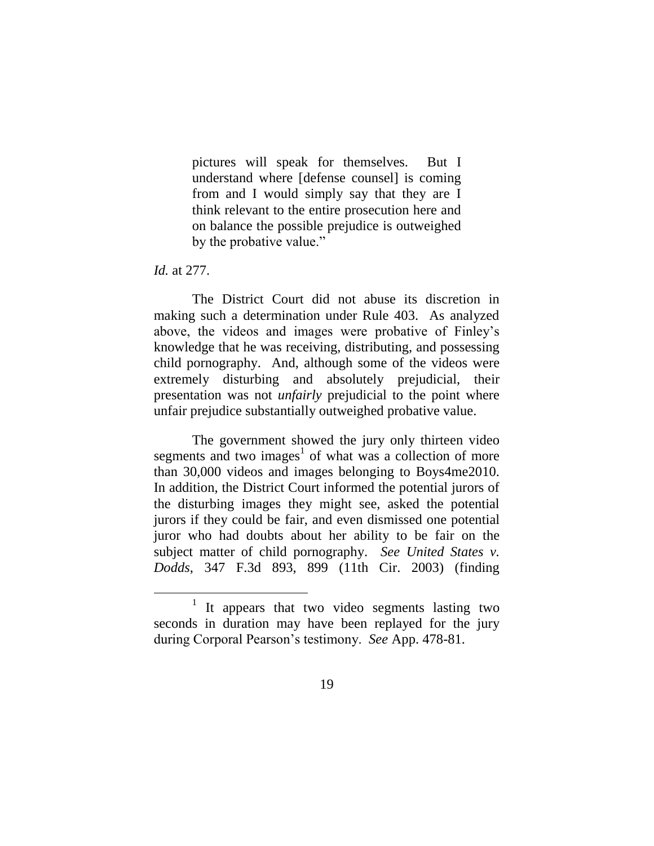pictures will speak for themselves. But I understand where [defense counsel] is coming from and I would simply say that they are I think relevant to the entire prosecution here and on balance the possible prejudice is outweighed by the probative value."

#### *Id.* at 277.

The District Court did not abuse its discretion in making such a determination under Rule 403. As analyzed above, the videos and images were probative of Finley's knowledge that he was receiving, distributing, and possessing child pornography. And, although some of the videos were extremely disturbing and absolutely prejudicial, their presentation was not *unfairly* prejudicial to the point where unfair prejudice substantially outweighed probative value.

The government showed the jury only thirteen video segments and two images<sup>1</sup> of what was a collection of more than 30,000 videos and images belonging to Boys4me2010. In addition, the District Court informed the potential jurors of the disturbing images they might see, asked the potential jurors if they could be fair, and even dismissed one potential juror who had doubts about her ability to be fair on the subject matter of child pornography. *See United States v. Dodds*, 347 F.3d 893, 899 (11th Cir. 2003) (finding

<sup>1</sup> It appears that two video segments lasting two seconds in duration may have been replayed for the jury during Corporal Pearson's testimony. *See* App. 478-81.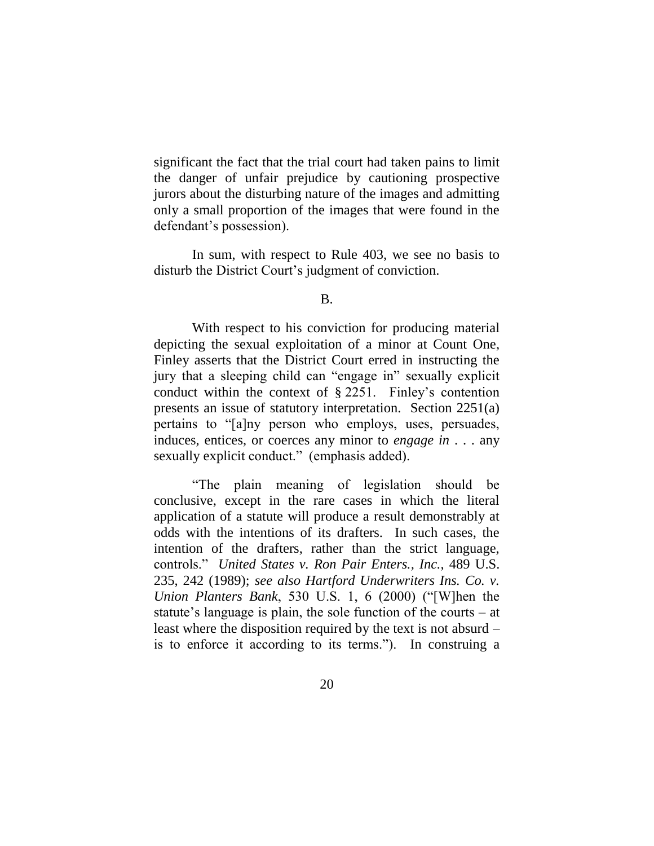significant the fact that the trial court had taken pains to limit the danger of unfair prejudice by cautioning prospective jurors about the disturbing nature of the images and admitting only a small proportion of the images that were found in the defendant's possession).

In sum, with respect to Rule 403, we see no basis to disturb the District Court's judgment of conviction.

B.

With respect to his conviction for producing material depicting the sexual exploitation of a minor at Count One, Finley asserts that the District Court erred in instructing the jury that a sleeping child can "engage in" sexually explicit conduct within the context of § 2251. Finley's contention presents an issue of statutory interpretation. Section 2251(a) pertains to "[a]ny person who employs, uses, persuades, induces, entices, or coerces any minor to *engage in* . . . any sexually explicit conduct." (emphasis added).

"The plain meaning of legislation should be conclusive, except in the rare cases in which the literal application of a statute will produce a result demonstrably at odds with the intentions of its drafters. In such cases, the intention of the drafters, rather than the strict language, controls." *United States v. Ron Pair Enters., Inc.*, 489 U.S. 235, 242 (1989); *see also Hartford Underwriters Ins. Co. v. Union Planters Bank*, 530 U.S. 1, 6 (2000) ("[W]hen the statute's language is plain, the sole function of the courts – at least where the disposition required by the text is not absurd – is to enforce it according to its terms."). In construing a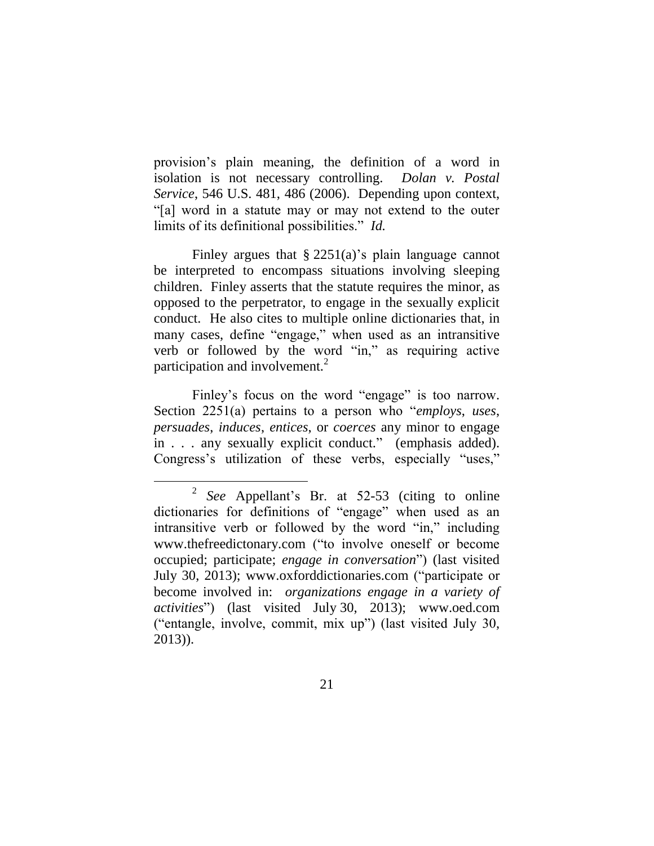provision's plain meaning, the definition of a word in isolation is not necessary controlling. *Dolan v. Postal Service*, 546 U.S. 481, 486 (2006). Depending upon context, "[a] word in a statute may or may not extend to the outer limits of its definitional possibilities." *Id.*

Finley argues that  $\S 2251(a)$ 's plain language cannot be interpreted to encompass situations involving sleeping children. Finley asserts that the statute requires the minor, as opposed to the perpetrator, to engage in the sexually explicit conduct. He also cites to multiple online dictionaries that, in many cases, define "engage," when used as an intransitive verb or followed by the word "in," as requiring active participation and involvement.<sup>2</sup>

Finley's focus on the word "engage" is too narrow. Section 2251(a) pertains to a person who "*employs*, *uses*, *persuades*, *induces*, *entices*, or *coerces* any minor to engage in . . . any sexually explicit conduct." (emphasis added). Congress's utilization of these verbs, especially "uses,"

<sup>2</sup> *See* Appellant's Br. at 52-53 (citing to online dictionaries for definitions of "engage" when used as an intransitive verb or followed by the word "in," including www.thefreedictonary.com ("to involve oneself or become occupied; participate; *engage in conversation*") (last visited July 30, 2013); www.oxforddictionaries.com ("participate or become involved in: *organizations engage in a variety of activities*") (last visited July 30, 2013); www.oed.com ("entangle, involve, commit, mix up") (last visited July 30, 2013)).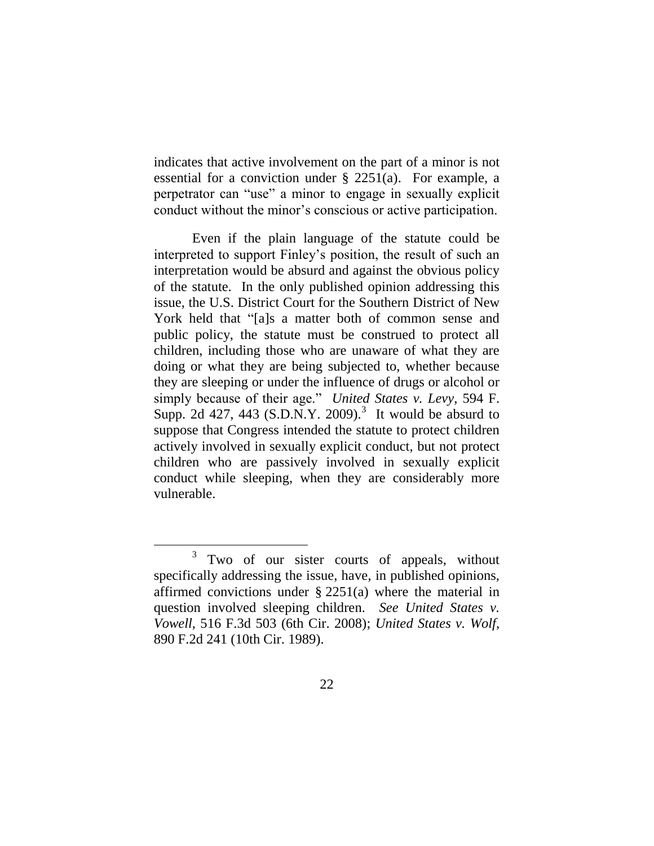indicates that active involvement on the part of a minor is not essential for a conviction under § 2251(a). For example, a perpetrator can "use" a minor to engage in sexually explicit conduct without the minor's conscious or active participation.

Even if the plain language of the statute could be interpreted to support Finley's position, the result of such an interpretation would be absurd and against the obvious policy of the statute. In the only published opinion addressing this issue, the U.S. District Court for the Southern District of New York held that "[a]s a matter both of common sense and public policy, the statute must be construed to protect all children, including those who are unaware of what they are doing or what they are being subjected to, whether because they are sleeping or under the influence of drugs or alcohol or simply because of their age." *United States v. Levy*, 594 F. Supp. 2d  $427$ ,  $443$  (S.D.N.Y. 2009).<sup>3</sup> It would be absurd to suppose that Congress intended the statute to protect children actively involved in sexually explicit conduct, but not protect children who are passively involved in sexually explicit conduct while sleeping, when they are considerably more vulnerable.

 $\overline{a}$ 

<sup>3</sup> Two of our sister courts of appeals, without specifically addressing the issue, have, in published opinions, affirmed convictions under  $\S 2251(a)$  where the material in question involved sleeping children. *See United States v. Vowell*, 516 F.3d 503 (6th Cir. 2008); *United States v. Wolf*, 890 F.2d 241 (10th Cir. 1989).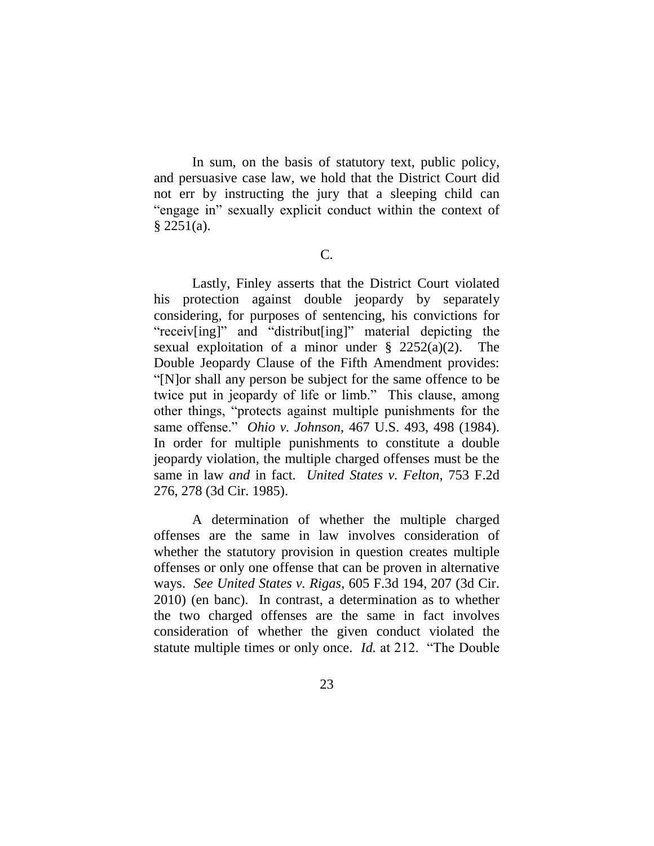In sum, on the basis of statutory text, public policy, and persuasive case law, we hold that the District Court did not err by instructing the jury that a sleeping child can "engage in" sexually explicit conduct within the context of  $§$  2251(a).

C.

Lastly, Finley asserts that the District Court violated his protection against double jeopardy by separately considering, for purposes of sentencing, his convictions for "receiv[ing]" and "distribut[ing]" material depicting the sexual exploitation of a minor under  $\S$  2252(a)(2). The Double Jeopardy Clause of the Fifth Amendment provides: "[N]or shall any person be subject for the same offence to be twice put in jeopardy of life or limb." This clause, among other things, "protects against multiple punishments for the same offense." *Ohio v. Johnson*, 467 U.S. 493, 498 (1984). In order for multiple punishments to constitute a double jeopardy violation, the multiple charged offenses must be the same in law *and* in fact. *United States v. Felton*, 753 F.2d 276, 278 (3d Cir. 1985).

A determination of whether the multiple charged offenses are the same in law involves consideration of whether the statutory provision in question creates multiple offenses or only one offense that can be proven in alternative ways. *See United States v. Rigas*, 605 F.3d 194, 207 (3d Cir. 2010) (en banc). In contrast, a determination as to whether the two charged offenses are the same in fact involves consideration of whether the given conduct violated the statute multiple times or only once. *Id.* at 212. "The Double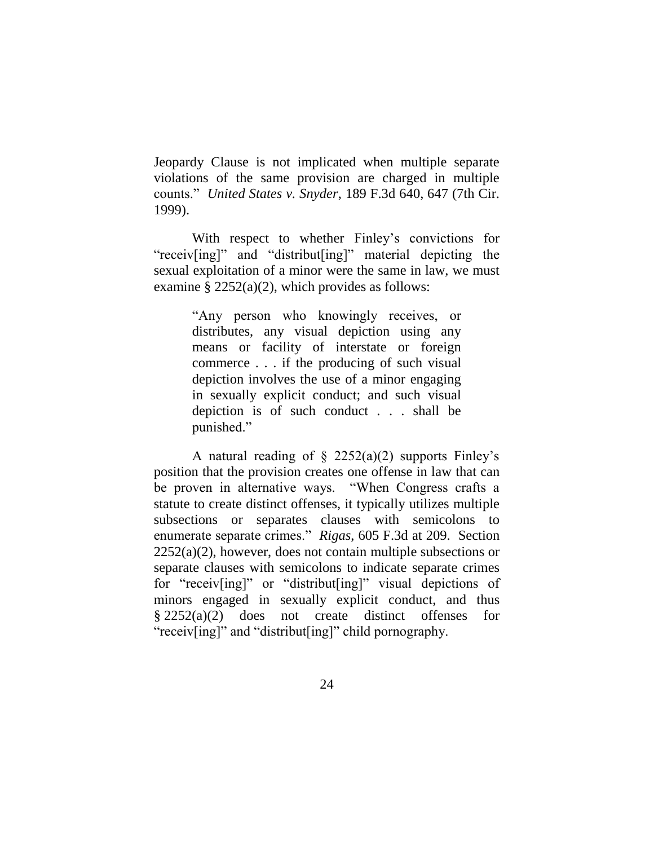Jeopardy Clause is not implicated when multiple separate violations of the same provision are charged in multiple counts." *United States v. Snyder*, 189 F.3d 640, 647 (7th Cir. 1999).

With respect to whether Finley's convictions for "receiv[ing]" and "distribut[ing]" material depicting the sexual exploitation of a minor were the same in law, we must examine  $\S 2252(a)(2)$ , which provides as follows:

> "Any person who knowingly receives, or distributes, any visual depiction using any means or facility of interstate or foreign commerce . . . if the producing of such visual depiction involves the use of a minor engaging in sexually explicit conduct; and such visual depiction is of such conduct . . . shall be punished."

A natural reading of  $\S$  2252(a)(2) supports Finley's position that the provision creates one offense in law that can be proven in alternative ways. "When Congress crafts a statute to create distinct offenses, it typically utilizes multiple subsections or separates clauses with semicolons to enumerate separate crimes." *Rigas*, 605 F.3d at 209. Section  $2252(a)(2)$ , however, does not contain multiple subsections or separate clauses with semicolons to indicate separate crimes for "receiv[ing]" or "distribut[ing]" visual depictions of minors engaged in sexually explicit conduct, and thus § 2252(a)(2) does not create distinct offenses for "receiv[ing]" and "distribut[ing]" child pornography.